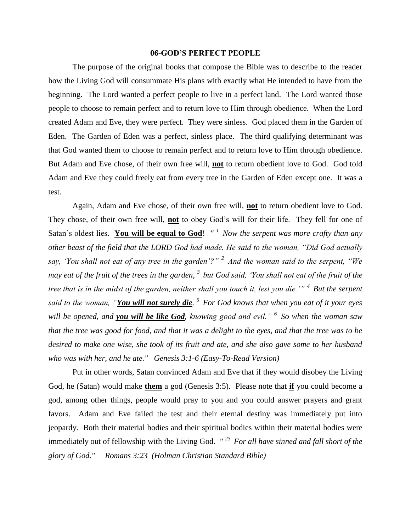## **06-GOD'S PERFECT PEOPLE**

The purpose of the original books that compose the Bible was to describe to the reader how the Living God will consummate His plans with exactly what He intended to have from the beginning. The Lord wanted a perfect people to live in a perfect land. The Lord wanted those people to choose to remain perfect and to return love to Him through obedience. When the Lord created Adam and Eve, they were perfect. They were sinless. God placed them in the Garden of Eden. The Garden of Eden was a perfect, sinless place. The third qualifying determinant was that God wanted them to choose to remain perfect and to return love to Him through obedience. But Adam and Eve chose, of their own free will, **not** to return obedient love to God. God told Adam and Eve they could freely eat from every tree in the Garden of Eden except one. It was a test.

Again, Adam and Eve chose, of their own free will, **not** to return obedient love to God. They chose, of their own free will, **not** to obey God's will for their life. They fell for one of Satan's oldest lies. **You will be equal to God**! *" <sup>1</sup>Now the serpent was more crafty than any other beast of the field that the LORD God had made. He said to the woman, "Did God actually say, 'You shall not eat of any tree in the garden'?" <sup>2</sup>And the woman said to the serpent, "We may eat of the fruit of the trees in the garden, <sup>3</sup>but God said, 'You shall not eat of the fruit of the tree that is in the midst of the garden, neither shall you touch it, lest you die.'" <sup>4</sup>But the serpent said to the woman, "You will not surely die. <sup>5</sup>For God knows that when you eat of it your eyes will be opened, and you will be like God, knowing good and evil." <sup>6</sup>So when the woman saw that the tree was good for food, and that it was a delight to the eyes, and that the tree was to be desired to make one wise, she took of its fruit and ate, and she also gave some to her husband who was with her, and he ate." Genesis 3:1-6 (Easy-To-Read Version)*

Put in other words, Satan convinced Adam and Eve that if they would disobey the Living God, he (Satan) would make **them** a god (Genesis 3:5). Please note that **if** you could become a god, among other things, people would pray to you and you could answer prayers and grant favors. Adam and Eve failed the test and their eternal destiny was immediately put into jeopardy. Both their material bodies and their spiritual bodies within their material bodies were immediately out of fellowship with the Living God*. " <sup>23</sup>For all have sinned and fall short of the glory of God." Romans 3:23 (Holman Christian Standard Bible)*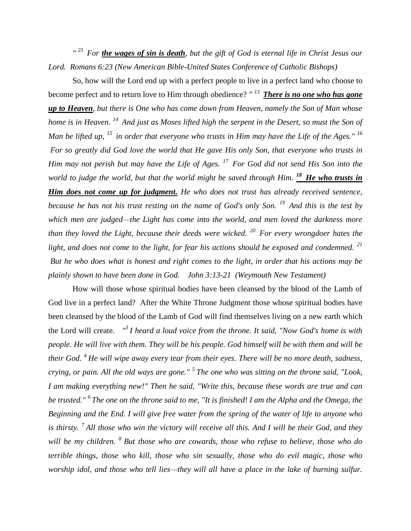<sup>"23</sup> For **the wages of sin is death**, but the gift of God is eternal life in Christ Jesus our *Lord. Romans 6:23 (New American Bible-United States Conference of Catholic Bishops)* 

So, how will the Lord end up with a perfect people to live in a perfect land who choose to become perfect and to return love to Him through obedience? *" <sup>13</sup>There is no one who has gone up to Heaven, but there is One who has come down from Heaven, namely the Son of Man whose home is in Heaven. <sup>14</sup>And just as Moses lifted high the serpent in the Desert, so must the Son of Man be lifted up, <sup>15</sup>in order that everyone who trusts in Him may have the Life of the Ages." <sup>16</sup> For so greatly did God love the world that He gave His only Son, that everyone who trusts in Him may not perish but may have the Life of Ages. <sup>17</sup>For God did not send His Son into the world to judge the world, but that the world might be saved through Him.* <sup>18</sup> He who trusts in *Him does not come up for judgment. He who does not trust has already received sentence, because he has not his trust resting on the name of God's only Son. <sup>19</sup>And this is the test by which men are judged—the Light has come into the world, and men loved the darkness more than they loved the Light, because their deeds were wicked. <sup>20</sup>For every wrongdoer hates the light, and does not come to the light, for fear his actions should be exposed and condemned. <sup>21</sup> But he who does what is honest and right comes to the light, in order that his actions may be plainly shown to have been done in God. John 3:13-21 (Weymouth New Testament)*

How will those whose spiritual bodies have been cleansed by the blood of the Lamb of God live in a perfect land? After the White Throne Judgment those whose spiritual bodies have been cleansed by the blood of the Lamb of God will find themselves living on a new earth which the Lord will create. *" <sup>3</sup>I heard a loud voice from the throne. It said, "Now God's home is with people. He will live with them. They will be his people. God himself will be with them and will be their God. <sup>4</sup>He will wipe away every tear from their eyes. There will be no more death, sadness, crying, or pain. All the old ways are gone." <sup>5</sup>The one who was sitting on the throne said, "Look, I am making everything new!" Then he said, "Write this, because these words are true and can be trusted." <sup>6</sup>The one on the throne said to me, "It is finished! I am the Alpha and the Omega, the Beginning and the End. I will give free water from the spring of the water of life to anyone who is thirsty. <sup>7</sup>All those who win the victory will receive all this. And I will be their God, and they will be my children. <sup>8</sup>But those who are cowards, those who refuse to believe, those who do terrible things, those who kill, those who sin sexually, those who do evil magic, those who worship idol, and those who tell lies—they will all have a place in the lake of burning sulfur.*